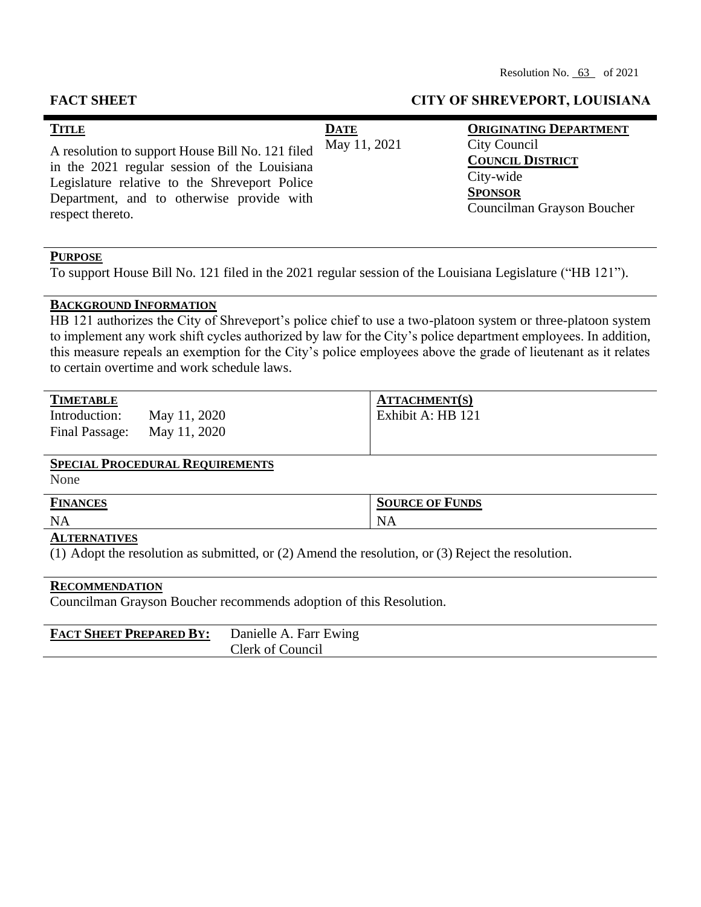| <b>TITLE</b><br>A resolution to support House Bill No. 121 filed<br>in the 2021 regular session of the Louisiana<br>Legislature relative to the Shreveport Police<br>Department, and to otherwise provide with<br>respect thereto. | <b>DATE</b><br>May 11, 2021 | <b>ORIGINATING DEPARTMENT</b><br>City Council<br><b>COUNCIL DISTRICT</b><br>City-wide<br><b>SPONSOR</b><br>Councilman Grayson Boucher |
|------------------------------------------------------------------------------------------------------------------------------------------------------------------------------------------------------------------------------------|-----------------------------|---------------------------------------------------------------------------------------------------------------------------------------|
|                                                                                                                                                                                                                                    |                             |                                                                                                                                       |

## **PURPOSE**

To support House Bill No. 121 filed in the 2021 regular session of the Louisiana Legislature ("HB 121").

## **BACKGROUND INFORMATION**

HB 121 authorizes the City of Shreveport's police chief to use a two-platoon system or three-platoon system to implement any work shift cycles authorized by law for the City's police department employees. In addition, this measure repeals an exemption for the City's police employees above the grade of lieutenant as it relates to certain overtime and work schedule laws.

| <b>TIMETABLE</b>            |              | <b>ATTACHMENT(S)</b> |
|-----------------------------|--------------|----------------------|
| Introduction:               | May 11, 2020 | Exhibit A: HB 121    |
| Final Passage: May 11, 2020 |              |                      |
|                             |              |                      |

# **SPECIAL PROCEDURAL REQUIREMENTS**

None

| $\mathbf{r}$<br>N | $\sim$<br>$H^*H^*$<br><b>ANCES</b> | <b>FUNDS</b><br>SOURCE<br>OF |
|-------------------|------------------------------------|------------------------------|
|                   | <b>NA</b>                          | $13 \Delta$                  |

## **ALTERNATIVES**

(1) Adopt the resolution as submitted, or (2) Amend the resolution, or (3) Reject the resolution.

## **RECOMMENDATION**

Councilman Grayson Boucher recommends adoption of this Resolution.

| <b>FACT SHEET PREPARED BY:</b> Danielle A. Farr Ewing |                  |  |
|-------------------------------------------------------|------------------|--|
|                                                       | Clerk of Council |  |

### **FACT SHEET CITY OF SHREVEPORT, LOUISIANA**